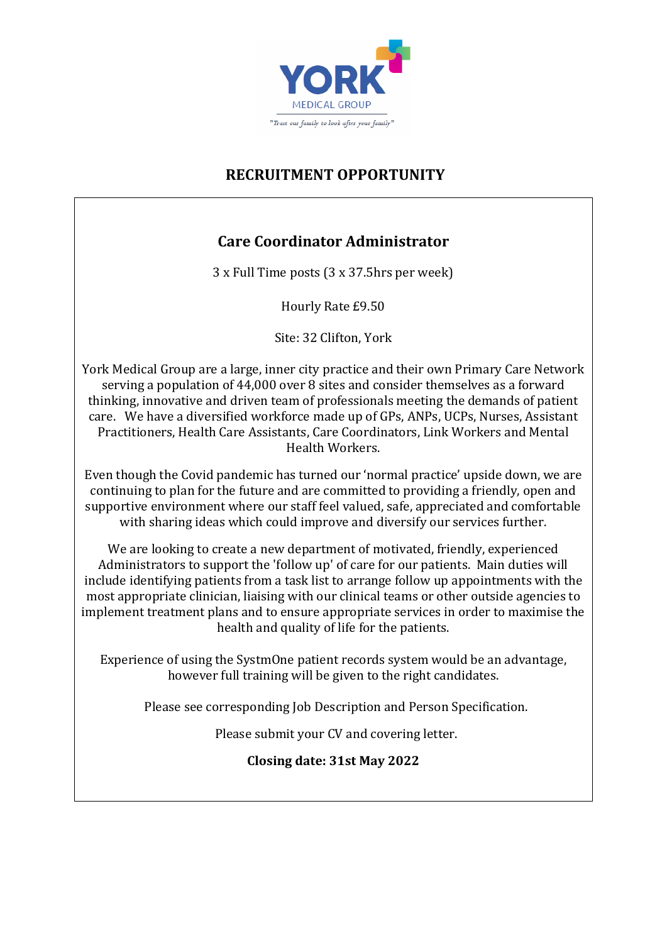

## **RECRUITMENT OPPORTUNITY**

## **Care Coordinator Administrator**

3 x Full Time posts (3 x 37.5hrs per week)

Hourly Rate £9.50

Site: 32 Clifton, York

York Medical Group are a large, inner city practice and their own Primary Care Network serving a population of 44,000 over 8 sites and consider themselves as a forward thinking, innovative and driven team of professionals meeting the demands of patient care. We have a diversified workforce made up of GPs, ANPs, UCPs, Nurses, Assistant Practitioners, Health Care Assistants, Care Coordinators, Link Workers and Mental Health Workers.

Even though the Covid pandemic has turned our 'normal practice' upside down, we are continuing to plan for the future and are committed to providing a friendly, open and supportive environment where our staff feel valued, safe, appreciated and comfortable with sharing ideas which could improve and diversify our services further.

We are looking to create a new department of motivated, friendly, experienced Administrators to support the 'follow up' of care for our patients. Main duties will include identifying patients from a task list to arrange follow up appointments with the most appropriate clinician, liaising with our clinical teams or other outside agencies to implement treatment plans and to ensure appropriate services in order to maximise the health and quality of life for the patients.

Experience of using the SystmOne patient records system would be an advantage, however full training will be given to the right candidates.

Please see corresponding Job Description and Person Specification.

Please submit your CV and covering letter.

**Closing date: 31st May 2022**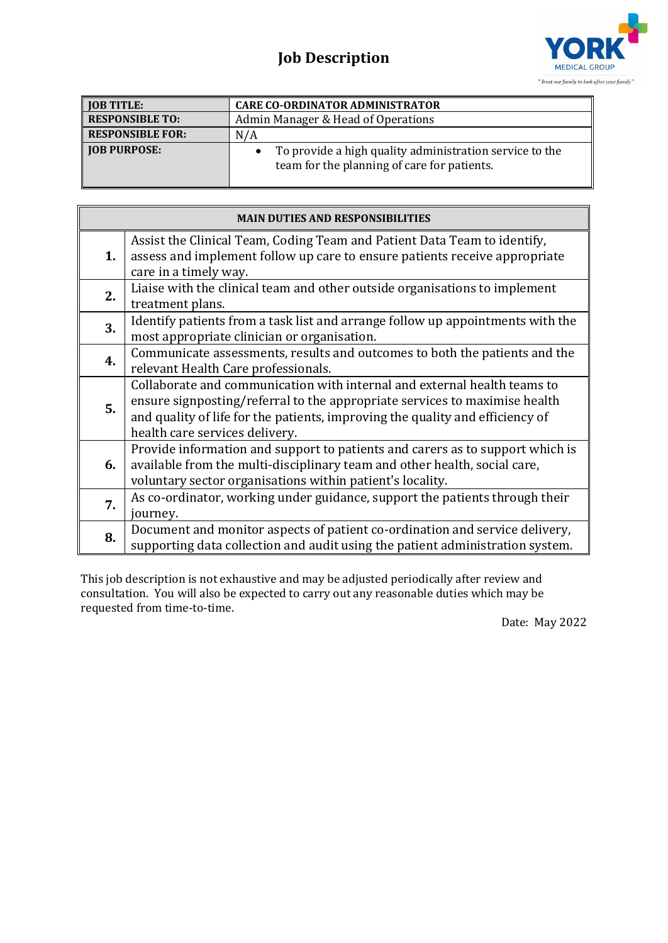## **Job Description**



| <b>JOB TITLE:</b>       | <b>CARE CO-ORDINATOR ADMINISTRATOR</b>                                                                 |
|-------------------------|--------------------------------------------------------------------------------------------------------|
| <b>RESPONSIBLE TO:</b>  | Admin Manager & Head of Operations                                                                     |
| <b>RESPONSIBLE FOR:</b> | N/A                                                                                                    |
| <b>JOB PURPOSE:</b>     | To provide a high quality administration service to the<br>team for the planning of care for patients. |

| <b>MAIN DUTIES AND RESPONSIBILITIES</b> |                                                                                                                                                                                                                                                                           |  |
|-----------------------------------------|---------------------------------------------------------------------------------------------------------------------------------------------------------------------------------------------------------------------------------------------------------------------------|--|
| 1.                                      | Assist the Clinical Team, Coding Team and Patient Data Team to identify,<br>assess and implement follow up care to ensure patients receive appropriate<br>care in a timely way.                                                                                           |  |
| 2.                                      | Liaise with the clinical team and other outside organisations to implement<br>treatment plans.                                                                                                                                                                            |  |
| 3.                                      | Identify patients from a task list and arrange follow up appointments with the<br>most appropriate clinician or organisation.                                                                                                                                             |  |
| 4.                                      | Communicate assessments, results and outcomes to both the patients and the<br>relevant Health Care professionals.                                                                                                                                                         |  |
| 5.                                      | Collaborate and communication with internal and external health teams to<br>ensure signposting/referral to the appropriate services to maximise health<br>and quality of life for the patients, improving the quality and efficiency of<br>health care services delivery. |  |
| 6.                                      | Provide information and support to patients and carers as to support which is<br>available from the multi-disciplinary team and other health, social care,<br>voluntary sector organisations within patient's locality.                                                   |  |
| 7.                                      | As co-ordinator, working under guidance, support the patients through their<br>journey.                                                                                                                                                                                   |  |
| 8.                                      | Document and monitor aspects of patient co-ordination and service delivery,<br>supporting data collection and audit using the patient administration system.                                                                                                              |  |

This job description is not exhaustive and may be adjusted periodically after review and consultation. You will also be expected to carry out any reasonable duties which may be requested from time-to-time.

Date: May 2022